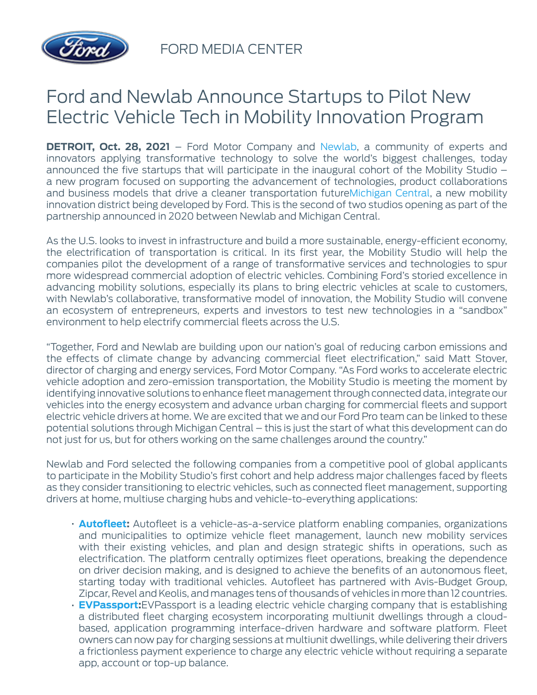

FORD MEDIA CENTER

## Ford and Newlab Announce Startups to Pilot New Electric Vehicle Tech in Mobility Innovation Program

**DETROIT, Oct. 28, 2021** – Ford Motor Company and [Newlab,](https://newlab.com/) a community of experts and innovators applying transformative technology to solve the world's biggest challenges, today announced the five startups that will participate in the inaugural cohort of the Mobility Studio – a new program focused on supporting the advancement of technologies, product collaborations and business models that drive a cleaner transportation future[Michigan Central](https://michigancentral.com/), a new mobility innovation district being developed by Ford. This is the second of two studios opening as part of the partnership announced in 2020 between Newlab and Michigan Central.

As the U.S. looks to invest in infrastructure and build a more sustainable, energy-efficient economy, the electrification of transportation is critical. In its first year, the Mobility Studio will help the companies pilot the development of a range of transformative services and technologies to spur more widespread commercial adoption of electric vehicles. Combining Ford's storied excellence in advancing mobility solutions, especially its plans to bring electric vehicles at scale to customers, with Newlab's collaborative, transformative model of innovation, the Mobility Studio will convene an ecosystem of entrepreneurs, experts and investors to test new technologies in a "sandbox" environment to help electrify commercial fleets across the U.S.

"Together, Ford and Newlab are building upon our nation's goal of reducing carbon emissions and the effects of climate change by advancing commercial fleet electrification," said Matt Stover, director of charging and energy services, Ford Motor Company. "As Ford works to accelerate electric vehicle adoption and zero-emission transportation, the Mobility Studio is meeting the moment by identifying innovative solutions to enhance fleet management through connected data, integrate our vehicles into the energy ecosystem and advance urban charging for commercial fleets and support electric vehicle drivers at home. We are excited that we and our Ford Pro team can be linked to these potential solutions through Michigan Central – this is just the start of what this development can do not just for us, but for others working on the same challenges around the country."

Newlab and Ford selected the following companies from a competitive pool of global applicants to participate in the Mobility Studio's first cohort and help address major challenges faced by fleets as they consider transitioning to electric vehicles, such as connected fleet management, supporting drivers at home, multiuse charging hubs and vehicle-to-everything applications:

- **[Autofleet](https://www.autofleet.io/):** Autofleet is a vehicle-as-a-service platform enabling companies, organizations and municipalities to optimize vehicle fleet management, launch new mobility services with their existing vehicles, and plan and design strategic shifts in operations, such as electrification. The platform centrally optimizes fleet operations, breaking the dependence on driver decision making, and is designed to achieve the benefits of an autonomous fleet, starting today with traditional vehicles. Autofleet has partnered with Avis-Budget Group, Zipcar, Revel and Keolis, and manages tens of thousands of vehicles in more than 12 countries.
- **[EVPassport:](https://www.evpassport.com/)**EVPassport is a leading electric vehicle charging company that is establishing a distributed fleet charging ecosystem incorporating multiunit dwellings through a cloudbased, application programming interface-driven hardware and software platform. Fleet owners can now pay for charging sessions at multiunit dwellings, while delivering their drivers a frictionless payment experience to charge any electric vehicle without requiring a separate app, account or top-up balance.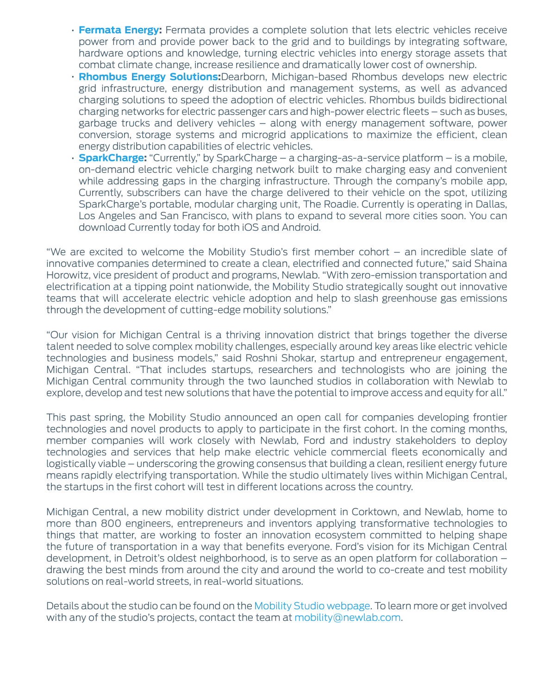- **[Fermata Energy](http://www.fermataenergy.com/):** Fermata provides a complete solution that lets electric vehicles receive power from and provide power back to the grid and to buildings by integrating software, hardware options and knowledge, turning electric vehicles into energy storage assets that combat climate change, increase resilience and dramatically lower cost of ownership.
- **[Rhombus Energy Solutions:](http://www.rhombusenergysolutions.com/)**Dearborn, Michigan-based Rhombus develops new electric grid infrastructure, energy distribution and management systems, as well as advanced charging solutions to speed the adoption of electric vehicles. Rhombus builds bidirectional charging networks for electric passenger cars and high-power electric fleets – such as buses, garbage trucks and delivery vehicles – along with energy management software, power conversion, storage systems and microgrid applications to maximize the efficient, clean energy distribution capabilities of electric vehicles.
- **[SparkCharge](http://www.sparkcharge.io/):** "Currently," by SparkCharge a charging-as-a-service platform is a mobile, on-demand electric vehicle charging network built to make charging easy and convenient while addressing gaps in the charging infrastructure. Through the company's mobile app, Currently, subscribers can have the charge delivered to their vehicle on the spot, utilizing SparkCharge's portable, modular charging unit, The Roadie. Currently is operating in Dallas, Los Angeles and San Francisco, with plans to expand to several more cities soon. You can download Currently today for both iOS and Android.

"We are excited to welcome the Mobility Studio's first member cohort – an incredible slate of innovative companies determined to create a clean, electrified and connected future," said Shaina Horowitz, vice president of product and programs, Newlab. "With zero-emission transportation and electrification at a tipping point nationwide, the Mobility Studio strategically sought out innovative teams that will accelerate electric vehicle adoption and help to slash greenhouse gas emissions through the development of cutting-edge mobility solutions."

"Our vision for Michigan Central is a thriving innovation district that brings together the diverse talent needed to solve complex mobility challenges, especially around key areas like electric vehicle technologies and business models," said Roshni Shokar, startup and entrepreneur engagement, Michigan Central. "That includes startups, researchers and technologists who are joining the Michigan Central community through the two launched studios in collaboration with Newlab to explore, develop and test new solutions that have the potential to improve access and equity for all."

This past spring, the Mobility Studio announced an open call for companies developing frontier technologies and novel products to apply to participate in the first cohort. In the coming months, member companies will work closely with Newlab, Ford and industry stakeholders to deploy technologies and services that help make electric vehicle commercial fleets economically and logistically viable – underscoring the growing consensus that building a clean, resilient energy future means rapidly electrifying transportation. While the studio ultimately lives within Michigan Central, the startups in the first cohort will test in different locations across the country.

Michigan Central, a new mobility district under development in Corktown, and Newlab, home to more than 800 engineers, entrepreneurs and inventors applying transformative technologies to things that matter, are working to foster an innovation ecosystem committed to helping shape the future of transportation in a way that benefits everyone. Ford's vision for its Michigan Central development, in Detroit's oldest neighborhood, is to serve as an open platform for collaboration – drawing the best minds from around the city and around the world to co-create and test mobility solutions on real-world streets, in real-world situations.

Details about the studio can be found on the [Mobility Studio webpage](https://newlab.com/studios/mobility-studio/). To learn more or get involved with any of the studio's projects, contact the team at [mobility@newlab.com](mailto:mobility@newlab.com).